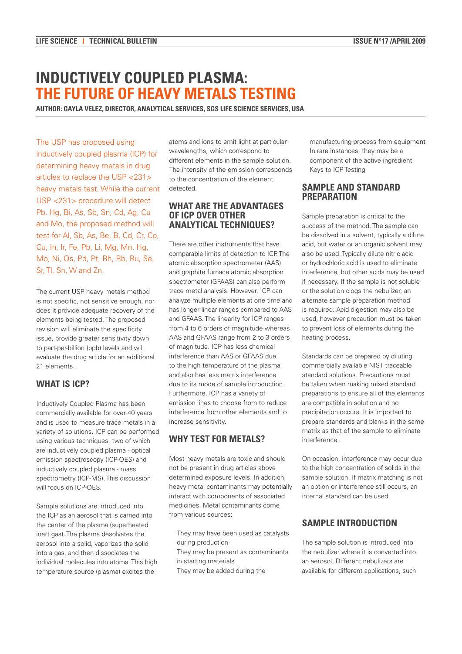# **INDUCTIVELY COUPLED PLASMA: THE FUTURE OF HEAVY METALS TESTING**

**AUTHOR: GAYLA VELEZ, DIRECTOR, ANALYTICAL SERVICES, SGS LIFE SCIENCE SERVICES, USA**

The USP has proposed using inductively coupled plasma (ICP) for determining heavy metals in drug articles to replace the USP <231> heavy metals test. While the current USP <231> procedure will detect Pb, Hg, Bi, As, Sb, Sn, Cd, Ag, Cu and Mo, the proposed method will test for Al, Sb, As, Be, B, Cd, Cr, Co, Cu, In, Ir, Fe, Pb, Li, Mg, Mn, Hg, Mo, Ni, Os, Pd, Pt, Rh, Rb, Ru, Se, Sr, Tl, Sn, W and Zn.

The current USP heavy metals method is not specific, not sensitive enough, nor does it provide adequate recovery of the elements being tested. The proposed revision will eliminate the specificity issue, provide greater sensitivity down to part-per-billion (ppb) levels and will evaluate the drug article for an additional 21 elements.

# **What is ICP?**

Inductively Coupled Plasma has been commercially available for over 40 years and is used to measure trace metals in a variety of solutions. ICP can be performed using various techniques, two of which are inductively coupled plasma - optical emission spectroscopy (ICP-OES) and inductively coupled plasma - mass spectrometry (ICP-MS). This discussion will focus on ICP-OES.

Sample solutions are introduced into the ICP as an aerosol that is carried into the center of the plasma (superheated inert gas). The plasma desolvates the aerosol into a solid, vaporizes the solid into a gas, and then dissociates the individual molecules into atoms. This high temperature source (plasma) excites the

atoms and ions to emit light at particular wavelengths, which correspond to different elements in the sample solution. The intensity of the emission corresponds to the concentration of the element detected.

#### **What are the advantages of ICP over other analytical techniques?**

There are other instruments that have comparable limits of detection to ICP. The atomic absorption spectrometer (AAS) and graphite furnace atomic absorption spectrometer (GFAAS) can also perform trace metal analysis. However, ICP can analyze multiple elements at one time and has longer linear ranges compared to AAS and GFAAS. The linearity for ICP ranges from 4 to 6 orders of magnitude whereas AAS and GFAAS range from 2 to 3 orders of magnitude. ICP has less chemical interference than AAS or GFAAS due to the high temperature of the plasma and also has less matrix interference due to its mode of sample introduction. Furthermore, ICP has a variety of emission lines to choose from to reduce interference from other elements and to increase sensitivity.

# **Why test for metals?**

Most heavy metals are toxic and should not be present in drug articles above determined exposure levels. In addition, heavy metal contaminants may potentially interact with components of associated medicines. Metal contaminants come from various sources:

- They may have been used as catalysts during production
- They may be present as contaminants in starting materials
- They may be added during the

manufacturing process from equipment In rare instances, they may be a component of the active ingredient Keys to ICP Testing

### **Sample and standard PREPARATION**

Sample preparation is critical to the success of the method. The sample can be dissolved in a solvent, typically a dilute acid, but water or an organic solvent may also be used. Typically dilute nitric acid or hydrochloric acid is used to eliminate interference, but other acids may be used if necessary. If the sample is not soluble or the solution clogs the nebulizer, an alternate sample preparation method is required. Acid digestion may also be used, however precaution must be taken to prevent loss of elements during the heating process.

Standards can be prepared by diluting commercially available NIST traceable standard solutions. Precautions must be taken when making mixed standard preparations to ensure all of the elements are compatible in solution and no precipitation occurs. It is important to prepare standards and blanks in the same matrix as that of the sample to eliminate interference.

On occasion, interference may occur due to the high concentration of solids in the sample solution. If matrix matching is not an option or interference still occurs, an internal standard can be used.

## **Sample introduction**

The sample solution is introduced into the nebulizer where it is converted into an aerosol. Different nebulizers are available for different applications, such